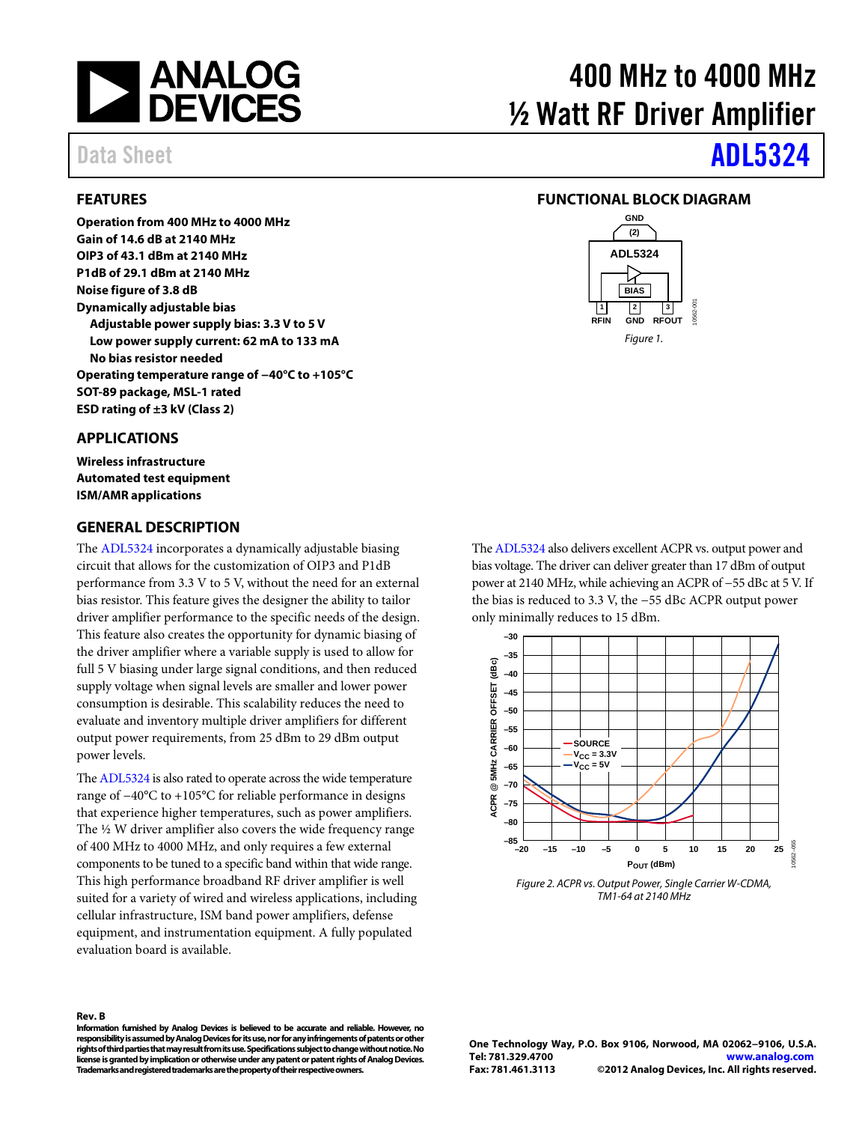

## <span id="page-0-0"></span>**FEATURES**

**Operation from 400 MHz to 4000 MHz Gain of 14.6 dB at 2140 MHz OIP3 of 43.1 dBm at 2140 MHz P1dB of 29.1 dBm at 2140 MHz Noise figure of 3.8 dB Dynamically adjustable bias Adjustable power supply bias: 3.3 V to 5 V Low power supply current: 62 mA to 133 mA No bias resistor needed Operating temperature range of −40°C to +105°C SOT-89 package, MSL-1 rated ESD rating of ±3 kV (Class 2)** 

## <span id="page-0-1"></span>**APPLICATIONS**

**Wireless infrastructure Automated test equipment ISM/AMR applications**

#### <span id="page-0-3"></span>**GENERAL DESCRIPTION**

The [ADL5324](http://www.analog.com/adl5324) incorporates a dynamically adjustable biasing circuit that allows for the customization of OIP3 and P1dB performance from 3.3 V to 5 V, without the need for an external bias resistor. This feature gives the designer the ability to tailor driver amplifier performance to the specific needs of the design. This feature also creates the opportunity for dynamic biasing of the driver amplifier where a variable supply is used to allow for full 5 V biasing under large signal conditions, and then reduced supply voltage when signal levels are smaller and lower power consumption is desirable. This scalability reduces the need to evaluate and inventory multiple driver amplifiers for different output power requirements, from 25 dBm to 29 dBm output power levels.

Th[e ADL5324](http://www.analog.com/adl5324) is also rated to operate across the wide temperature range of −40°C to +105°C for reliable performance in designs that experience higher temperatures, such as power amplifiers. The ½ W driver amplifier also covers the wide frequency range of 400 MHz to 4000 MHz, and only requires a few external components to be tuned to a specific band within that wide range. This high performance broadband RF driver amplifier is well suited for a variety of wired and wireless applications, including cellular infrastructure, ISM band power amplifiers, defense equipment, and instrumentation equipment. A fully populated evaluation board is available.

# 400 MHz to 4000 MHz ½ Watt RF Driver Amplifier

## Data Sheet **[ADL5324](http://www.analog.com/ADL5324)**

## <span id="page-0-2"></span>**FUNCTIONAL BLOCK DIAGRAM**



Th[e ADL5324](http://www.analog.com/adl5324) also delivers excellent ACPR vs. output power and bias voltage. The driver can deliver greater than 17 dBm of output power at 2140 MHz, while achieving an ACPR of −55 dBc at 5 V. If the bias is reduced to 3.3 V, the −55 dBc ACPR output power only minimally reduces to 15 dBm.



*Figure 2. ACPR vs. Output Power, Single Carrier W-CDMA, TM1-64 at 2140 MHz*

**Rev. B**

**Information furnished by Analog Devices is believed to be accurate and reliable. However, no responsibility is assumed by Analog Devices for its use, nor for any infringements of patents or other rights of third parties that may result from its use. Specifications subject to change without notice. No license is granted by implication or otherwise under any patent or patent rights of Analog Devices. Trademarks and registered trademarks are the property of their respective owners.**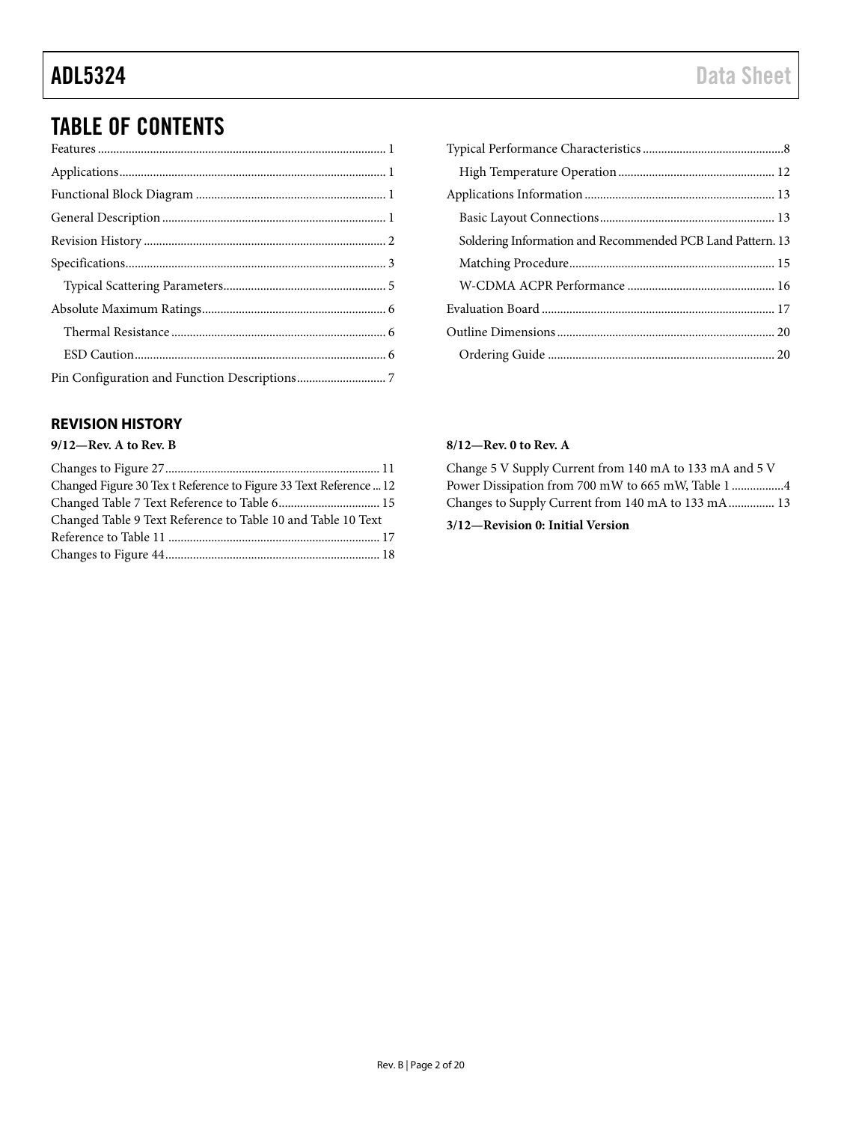## TABLE OF CONTENTS

| Soldering Information and Recommended PCB Land Pattern. 13 |
|------------------------------------------------------------|
|                                                            |
|                                                            |
|                                                            |
|                                                            |
|                                                            |

## <span id="page-1-0"></span>**REVISION HISTORY**

## **9/12—Rev. A to Rev. B**

| Changed Figure 30 Tex t Reference to Figure 33 Text Reference  12 |  |
|-------------------------------------------------------------------|--|
| Changed Table 7 Text Reference to Table 6 15                      |  |
| Changed Table 9 Text Reference to Table 10 and Table 10 Text      |  |
|                                                                   |  |
|                                                                   |  |

### **8/12—Rev. 0 to Rev. A**

Change 5 V Supply Current from 140 mA to 133 mA and 5 V Power Dissipation from 700 mW to 665 mW, Table 1 ................. 4 Changes to Supply Current from 140 mA to 133 mA ............... 13

## **3/12—Revision 0: Initial Version**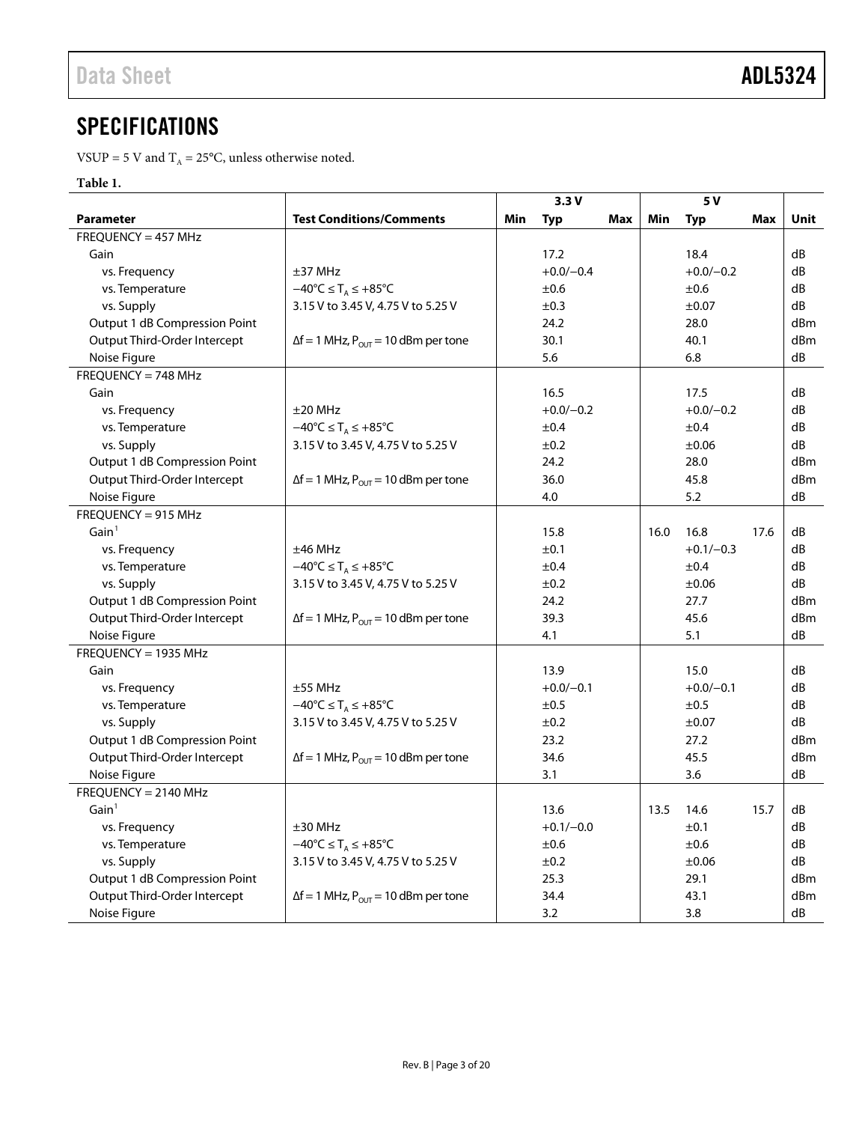## <span id="page-2-0"></span>**SPECIFICATIONS**

VSUP = 5 V and  $T_A = 25$ °C, unless otherwise noted.

### **Table 1.**

|                               |                                                        | 3.3V              |     |      | 5 V         |      |      |
|-------------------------------|--------------------------------------------------------|-------------------|-----|------|-------------|------|------|
| <b>Parameter</b>              | <b>Test Conditions/Comments</b>                        | Min<br><b>Typ</b> | Max | Min  | <b>Typ</b>  | Max  | Unit |
| $FREQUENCY = 457 MHz$         |                                                        |                   |     |      |             |      |      |
| Gain                          |                                                        | 17.2              |     |      | 18.4        |      | dB   |
| vs. Frequency                 | ±37 MHz                                                | $+0.0/-0.4$       |     |      | $+0.0/-0.2$ |      | dB   |
| vs. Temperature               | $-40^{\circ}C \leq T_A \leq +85^{\circ}C$              | ±0.6              |     |      | ±0.6        |      | dB   |
| vs. Supply                    | 3.15 V to 3.45 V, 4.75 V to 5.25 V                     | ±0.3              |     |      | $\pm 0.07$  |      | dB   |
| Output 1 dB Compression Point |                                                        | 24.2              |     |      | 28.0        |      | dBm  |
| Output Third-Order Intercept  | $\Delta f = 1$ MHz, $P_{\text{OUT}} = 10$ dBm per tone | 30.1              |     |      | 40.1        |      | dBm  |
| Noise Figure                  |                                                        | 5.6               |     |      | 6.8         |      | dB   |
| FREQUENCY = 748 MHz           |                                                        |                   |     |      |             |      |      |
| Gain                          |                                                        | 16.5              |     |      | 17.5        |      | dB   |
| vs. Frequency                 | $\pm 20$ MHz                                           | $+0.0/-0.2$       |     |      | $+0.0/-0.2$ |      | dB   |
| vs. Temperature               | $-40^{\circ}C \leq T_A \leq +85^{\circ}C$              | ±0.4              |     |      | ±0.4        |      | dB   |
| vs. Supply                    | 3.15 V to 3.45 V, 4.75 V to 5.25 V                     | ±0.2              |     |      | ±0.06       |      | dB   |
| Output 1 dB Compression Point |                                                        | 24.2              |     |      | 28.0        |      | dBm  |
| Output Third-Order Intercept  | $\Delta f = 1$ MHz, $P_{\text{OUT}} = 10$ dBm per tone | 36.0              |     |      | 45.8        |      | dBm  |
| Noise Figure                  |                                                        | 4.0               |     |      | 5.2         |      | dB   |
| $FREQUENCY = 915 MHz$         |                                                        |                   |     |      |             |      |      |
| Gain <sup>1</sup>             |                                                        | 15.8              |     | 16.0 | 16.8        | 17.6 | dB   |
| vs. Frequency                 | $±46$ MHz                                              | ±0.1              |     |      | $+0.1/-0.3$ |      | dB   |
| vs. Temperature               | $-40^{\circ}C \leq T_A \leq +85^{\circ}C$              | ±0.4              |     |      | $\pm 0.4$   |      | dB   |
| vs. Supply                    | 3.15 V to 3.45 V, 4.75 V to 5.25 V                     | ±0.2              |     |      | $\pm 0.06$  |      | dB   |
| Output 1 dB Compression Point |                                                        | 24.2              |     |      | 27.7        |      | dBm  |
| Output Third-Order Intercept  | $\Delta f = 1$ MHz, $P_{\text{OUT}} = 10$ dBm per tone | 39.3              |     |      | 45.6        |      | dBm  |
| Noise Figure                  |                                                        | 4.1               |     |      | 5.1         |      | dB   |
| FREQUENCY = 1935 MHz          |                                                        |                   |     |      |             |      |      |
| Gain                          |                                                        | 13.9              |     |      | 15.0        |      | dB   |
| vs. Frequency                 | ±55 MHz                                                | $+0.0/-0.1$       |     |      | $+0.0/-0.1$ |      | dB   |
| vs. Temperature               | $-40^{\circ}C \leq T_A \leq +85^{\circ}C$              | ±0.5              |     |      | ±0.5        |      | dB   |
| vs. Supply                    | 3.15 V to 3.45 V, 4.75 V to 5.25 V                     | ±0.2              |     |      | $\pm 0.07$  |      | dB   |
| Output 1 dB Compression Point |                                                        | 23.2              |     |      | 27.2        |      | dBm  |
| Output Third-Order Intercept  | $\Delta f = 1$ MHz, $P_{\text{OUT}} = 10$ dBm per tone | 34.6              |     |      | 45.5        |      | dBm  |
| Noise Figure                  |                                                        | 3.1               |     |      | 3.6         |      | dB   |
| FREQUENCY = 2140 MHz          |                                                        |                   |     |      |             |      |      |
| Gain <sup>1</sup>             |                                                        | 13.6              |     | 13.5 | 14.6        | 15.7 | dB   |
| vs. Frequency                 | ±30 MHz                                                | $+0.1/-0.0$       |     |      | ±0.1        |      | dB   |
| vs. Temperature               | $-40^{\circ}C \leq T_A \leq +85^{\circ}C$              | ±0.6              |     |      | ±0.6        |      | dB   |
| vs. Supply                    | 3.15 V to 3.45 V, 4.75 V to 5.25 V                     | ±0.2              |     |      | ±0.06       |      | dB   |
| Output 1 dB Compression Point |                                                        | 25.3              |     |      | 29.1        |      | dBm  |
| Output Third-Order Intercept  | $\Delta f = 1$ MHz, $P_{\text{OUT}} = 10$ dBm per tone | 34.4              |     |      | 43.1        |      | dBm  |
| Noise Figure                  |                                                        | 3.2               |     |      | 3.8         |      | dB   |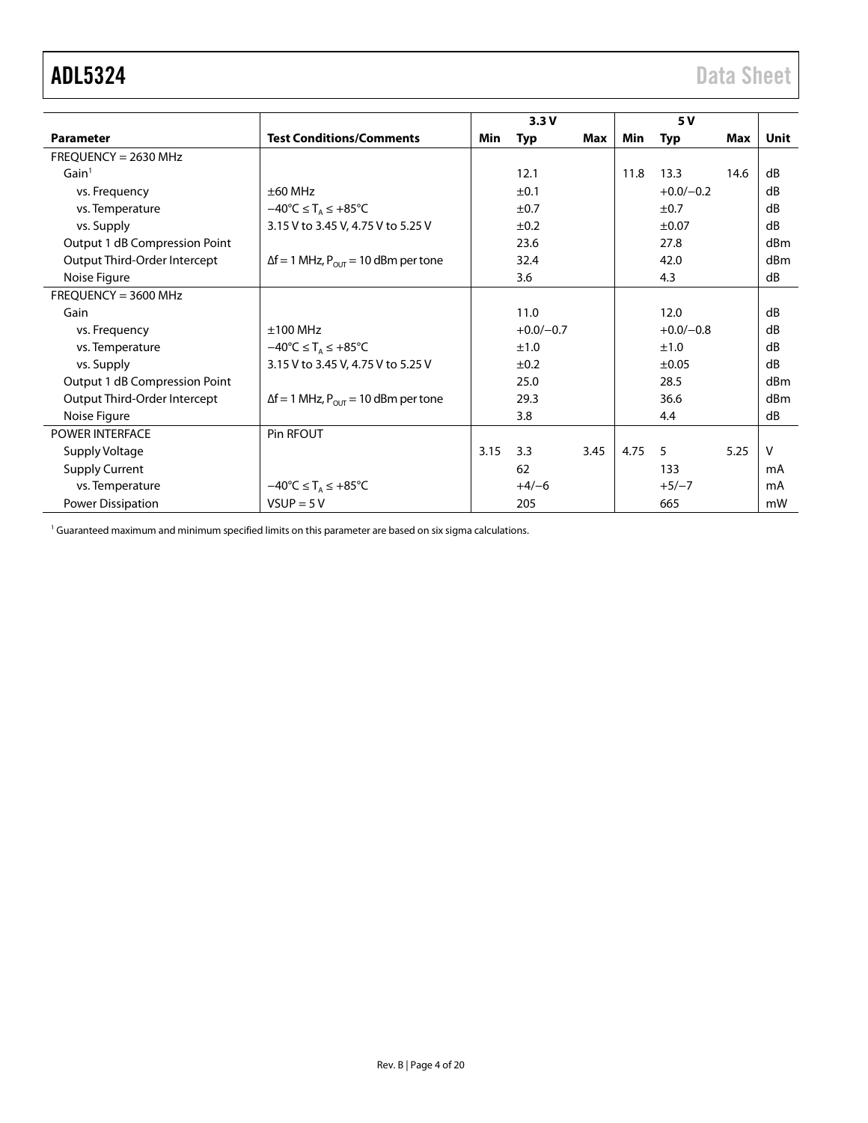<span id="page-3-0"></span>

|                               |                                                               |      | 3.3V        |      |      | 5 V         |      |             |
|-------------------------------|---------------------------------------------------------------|------|-------------|------|------|-------------|------|-------------|
| <b>Parameter</b>              | <b>Test Conditions/Comments</b>                               | Min  | <b>Typ</b>  | Max  | Min  | <b>Typ</b>  | Max  | <b>Unit</b> |
| $FREQUENCY = 2630 MHz$        |                                                               |      |             |      |      |             |      |             |
| Gain <sup>1</sup>             |                                                               |      | 12.1        |      | 11.8 | 13.3        | 14.6 | dB          |
| vs. Frequency                 | $\pm 60$ MHz                                                  |      | ±0.1        |      |      | $+0.0/-0.2$ |      | dB          |
| vs. Temperature               | $-40^{\circ}$ C $\leq$ T <sub>A</sub> $\leq$ +85 $^{\circ}$ C |      | ±0.7        |      |      | ±0.7        |      | dB          |
| vs. Supply                    | 3.15 V to 3.45 V, 4.75 V to 5.25 V                            |      | ±0.2        |      |      | $\pm 0.07$  |      | dB          |
| Output 1 dB Compression Point |                                                               |      | 23.6        |      |      | 27.8        |      | dBm         |
| Output Third-Order Intercept  | $\Delta f = 1$ MHz, $P_{\text{OUT}} = 10$ dBm per tone        |      | 32.4        |      |      | 42.0        |      | dBm         |
| Noise Figure                  |                                                               |      | 3.6         |      |      | 4.3         |      | dB          |
| $FREQUENCY = 3600 MHz$        |                                                               |      |             |      |      |             |      |             |
| Gain                          |                                                               |      | 11.0        |      |      | 12.0        |      | dB          |
| vs. Frequency                 | $±100$ MHz                                                    |      | $+0.0/-0.7$ |      |      | $+0.0/-0.8$ |      | dB          |
| vs. Temperature               | $-40^{\circ}$ C $\leq$ T <sub>A</sub> $\leq$ +85 $^{\circ}$ C |      | ±1.0        |      |      | ±1.0        |      | dB          |
| vs. Supply                    | 3.15 V to 3.45 V, 4.75 V to 5.25 V                            |      | ±0.2        |      |      | ±0.05       |      | dB          |
| Output 1 dB Compression Point |                                                               |      | 25.0        |      |      | 28.5        |      | dBm         |
| Output Third-Order Intercept  | $\Delta f = 1$ MHz, $P_{\text{OUT}} = 10$ dBm per tone        |      | 29.3        |      |      | 36.6        |      | dBm         |
| Noise Figure                  |                                                               |      | 3.8         |      |      | 4.4         |      | dB          |
| <b>POWER INTERFACE</b>        | Pin RFOUT                                                     |      |             |      |      |             |      |             |
| Supply Voltage                |                                                               | 3.15 | 3.3         | 3.45 | 4.75 | 5           | 5.25 | $\vee$      |
| <b>Supply Current</b>         |                                                               |      | 62          |      |      | 133         |      | mA          |
| vs. Temperature               | $-40^{\circ}C \leq T_A \leq +85^{\circ}C$                     |      | $+4/-6$     |      |      | $+5/-7$     |      | mA          |
| <b>Power Dissipation</b>      | $VSUP = 5 V$                                                  |      | 205         |      |      | 665         |      | mW          |

<span id="page-3-1"></span><sup>1</sup> Guaranteed maximum and minimum specified limits on this parameter are based on six sigma calculations.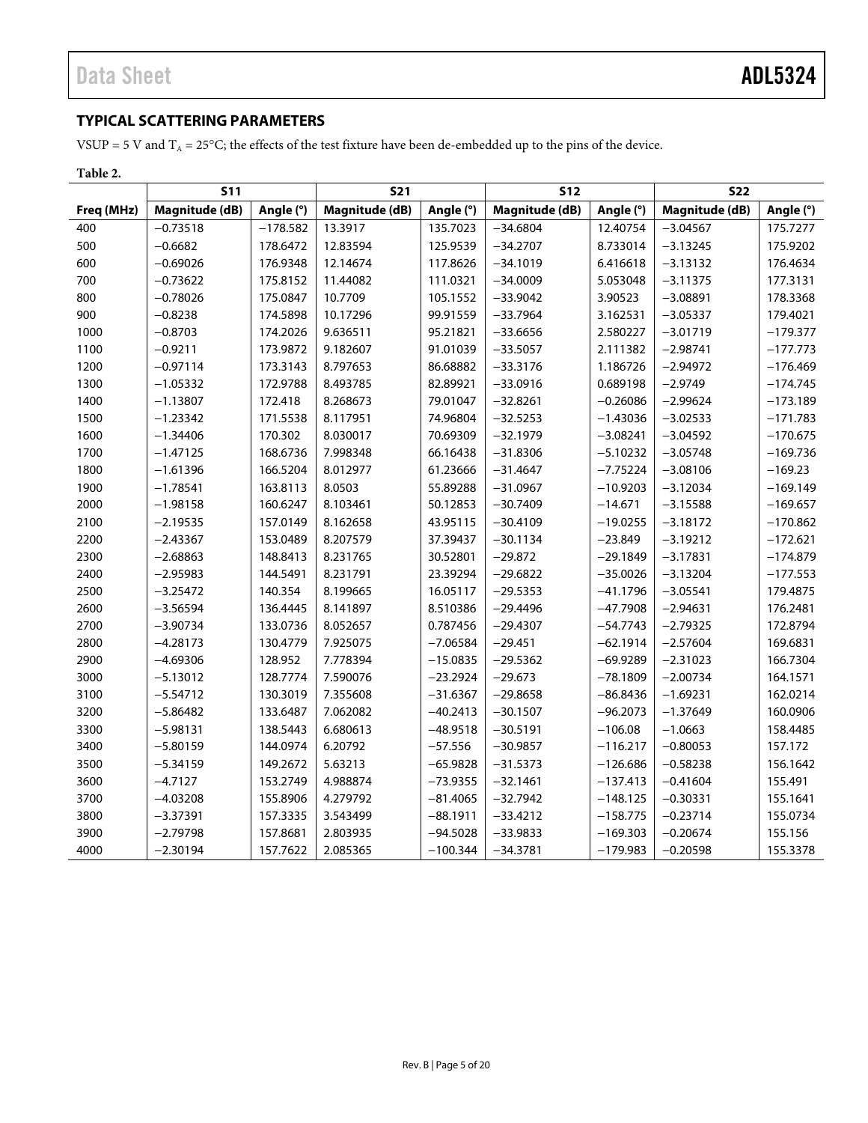## <span id="page-4-0"></span>**TYPICAL SCATTERING PARAMETERS**

VSUP = 5 V and  $T_A$  = 25°C; the effects of the test fixture have been de-embedded up to the pins of the device.

|            | <b>S11</b>            |            | <b>S21</b>     |            | <b>S12</b>            |            | <b>S22</b>     |            |
|------------|-----------------------|------------|----------------|------------|-----------------------|------------|----------------|------------|
| Freq (MHz) | <b>Magnitude (dB)</b> | Angle (°)  | Magnitude (dB) | Angle (°)  | <b>Magnitude (dB)</b> | Angle (°)  | Magnitude (dB) | Angle (°)  |
| 400        | $-0.73518$            | $-178.582$ | 13.3917        | 135.7023   | $-34.6804$            | 12.40754   | $-3.04567$     | 175.7277   |
| 500        | $-0.6682$             | 178.6472   | 12.83594       | 125.9539   | $-34.2707$            | 8.733014   | $-3.13245$     | 175.9202   |
| 600        | $-0.69026$            | 176.9348   | 12.14674       | 117.8626   | $-34.1019$            | 6.416618   | $-3.13132$     | 176.4634   |
| 700        | $-0.73622$            | 175.8152   | 11.44082       | 111.0321   | $-34.0009$            | 5.053048   | $-3.11375$     | 177.3131   |
| 800        | $-0.78026$            | 175.0847   | 10.7709        | 105.1552   | $-33.9042$            | 3.90523    | $-3.08891$     | 178.3368   |
| 900        | $-0.8238$             | 174.5898   | 10.17296       | 99.91559   | $-33.7964$            | 3.162531   | $-3.05337$     | 179.4021   |
| 1000       | $-0.8703$             | 174.2026   | 9.636511       | 95.21821   | $-33.6656$            | 2.580227   | $-3.01719$     | $-179.377$ |
| 1100       | $-0.9211$             | 173.9872   | 9.182607       | 91.01039   | $-33.5057$            | 2.111382   | $-2.98741$     | $-177.773$ |
| 1200       | $-0.97114$            | 173.3143   | 8.797653       | 86.68882   | $-33.3176$            | 1.186726   | $-2.94972$     | $-176.469$ |
| 1300       | $-1.05332$            | 172.9788   | 8.493785       | 82.89921   | $-33.0916$            | 0.689198   | $-2.9749$      | $-174.745$ |
| 1400       | $-1.13807$            | 172.418    | 8.268673       | 79.01047   | $-32.8261$            | $-0.26086$ | $-2.99624$     | $-173.189$ |
| 1500       | $-1.23342$            | 171.5538   | 8.117951       | 74.96804   | $-32.5253$            | $-1.43036$ | $-3.02533$     | $-171.783$ |
| 1600       | $-1.34406$            | 170.302    | 8.030017       | 70.69309   | $-32.1979$            | $-3.08241$ | $-3.04592$     | $-170.675$ |
| 1700       | $-1.47125$            | 168.6736   | 7.998348       | 66.16438   | $-31.8306$            | $-5.10232$ | $-3.05748$     | $-169.736$ |
| 1800       | $-1.61396$            | 166.5204   | 8.012977       | 61.23666   | $-31.4647$            | $-7.75224$ | $-3.08106$     | $-169.23$  |
| 1900       | $-1.78541$            | 163.8113   | 8.0503         | 55.89288   | $-31.0967$            | $-10.9203$ | $-3.12034$     | $-169.149$ |
| 2000       | $-1.98158$            | 160.6247   | 8.103461       | 50.12853   | $-30.7409$            | $-14.671$  | $-3.15588$     | $-169.657$ |
| 2100       | $-2.19535$            | 157.0149   | 8.162658       | 43.95115   | $-30.4109$            | $-19.0255$ | $-3.18172$     | $-170.862$ |
| 2200       | $-2.43367$            | 153.0489   | 8.207579       | 37.39437   | $-30.1134$            | $-23.849$  | $-3.19212$     | $-172.621$ |
| 2300       | $-2.68863$            | 148.8413   | 8.231765       | 30.52801   | $-29.872$             | $-29.1849$ | $-3.17831$     | $-174.879$ |
| 2400       | $-2.95983$            | 144.5491   | 8.231791       | 23.39294   | $-29.6822$            | $-35.0026$ | $-3.13204$     | $-177.553$ |
| 2500       | $-3.25472$            | 140.354    | 8.199665       | 16.05117   | $-29.5353$            | $-41.1796$ | $-3.05541$     | 179.4875   |
| 2600       | $-3.56594$            | 136.4445   | 8.141897       | 8.510386   | $-29.4496$            | $-47.7908$ | $-2.94631$     | 176.2481   |
| 2700       | $-3.90734$            | 133.0736   | 8.052657       | 0.787456   | $-29.4307$            | $-54.7743$ | $-2.79325$     | 172.8794   |
| 2800       | $-4.28173$            | 130.4779   | 7.925075       | $-7.06584$ | $-29.451$             | $-62.1914$ | $-2.57604$     | 169.6831   |
| 2900       | $-4.69306$            | 128.952    | 7.778394       | $-15.0835$ | $-29.5362$            | $-69.9289$ | $-2.31023$     | 166.7304   |
| 3000       | $-5.13012$            | 128.7774   | 7.590076       | $-23.2924$ | $-29.673$             | $-78.1809$ | $-2.00734$     | 164.1571   |
| 3100       | $-5.54712$            | 130.3019   | 7.355608       | $-31.6367$ | $-29.8658$            | $-86.8436$ | $-1.69231$     | 162.0214   |
| 3200       | $-5.86482$            | 133.6487   | 7.062082       | $-40.2413$ | $-30.1507$            | $-96.2073$ | $-1.37649$     | 160.0906   |
| 3300       | $-5.98131$            | 138.5443   | 6.680613       | $-48.9518$ | $-30.5191$            | $-106.08$  | $-1.0663$      | 158.4485   |
| 3400       | $-5.80159$            | 144.0974   | 6.20792        | $-57.556$  | $-30.9857$            | $-116.217$ | $-0.80053$     | 157.172    |
| 3500       | $-5.34159$            | 149.2672   | 5.63213        | $-65.9828$ | $-31.5373$            | $-126.686$ | $-0.58238$     | 156.1642   |
| 3600       | $-4.7127$             | 153.2749   | 4.988874       | $-73.9355$ | $-32.1461$            | $-137.413$ | $-0.41604$     | 155.491    |
| 3700       | $-4.03208$            | 155.8906   | 4.279792       | $-81.4065$ | $-32.7942$            | $-148.125$ | $-0.30331$     | 155.1641   |
| 3800       | $-3.37391$            | 157.3335   | 3.543499       | $-88.1911$ | $-33.4212$            | $-158.775$ | $-0.23714$     | 155.0734   |
| 3900       | $-2.79798$            | 157.8681   | 2.803935       | $-94.5028$ | $-33.9833$            | $-169.303$ | $-0.20674$     | 155.156    |
| 4000       | $-2.30194$            | 157.7622   | 2.085365       | $-100.344$ | $-34.3781$            | $-179.983$ | $-0.20598$     | 155.3378   |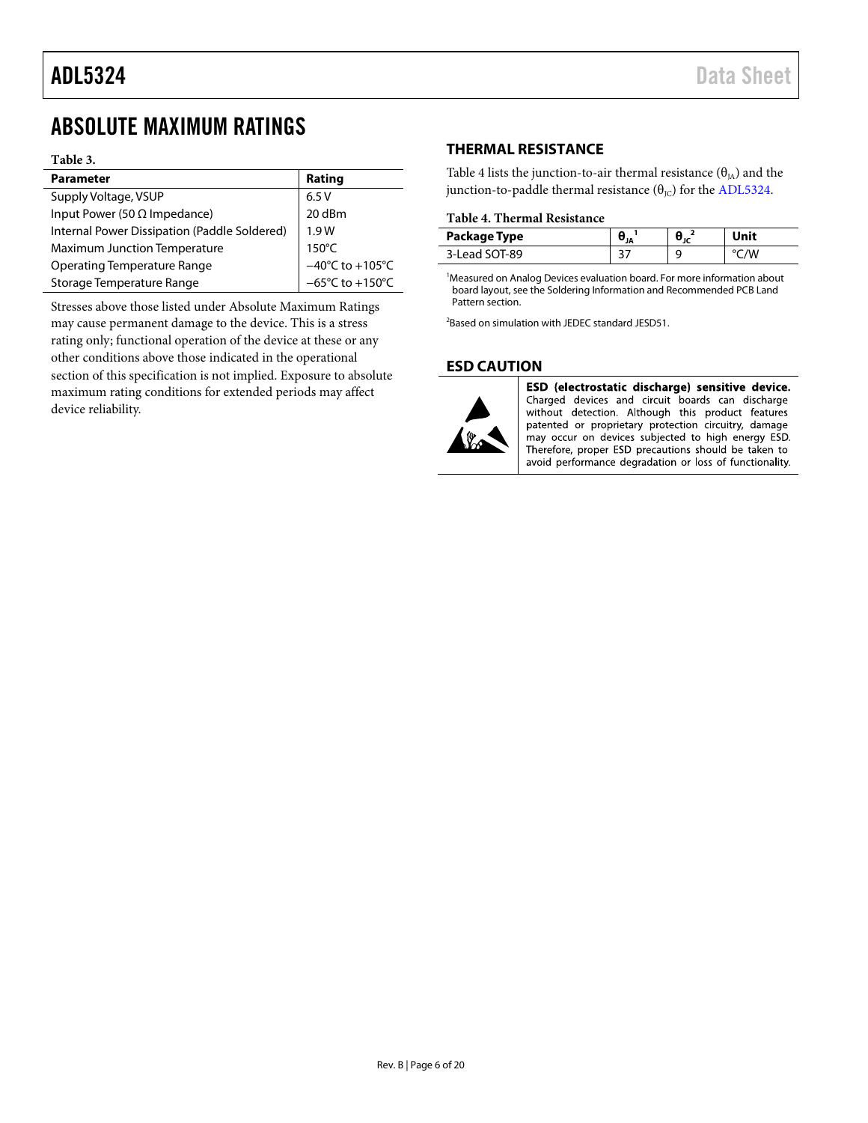## <span id="page-5-0"></span>ABSOLUTE MAXIMUM RATINGS

#### **Table 3.**

| <b>Parameter</b>                             | Rating                                       |
|----------------------------------------------|----------------------------------------------|
| Supply Voltage, VSUP                         | 6.5V                                         |
| Input Power (50 $\Omega$ Impedance)          | 20 dBm                                       |
| Internal Power Dissipation (Paddle Soldered) | 1.9W                                         |
| Maximum Junction Temperature                 | $150^{\circ}$ C                              |
| <b>Operating Temperature Range</b>           | $-40^{\circ}$ C to +105°C<br>-65°C to +150°C |
| Storage Temperature Range                    |                                              |

Stresses above those listed under Absolute Maximum Ratings may cause permanent damage to the device. This is a stress rating only; functional operation of the device at these or any other conditions above those indicated in the operational section of this specification is not implied. Exposure to absolute maximum rating conditions for extended periods may affect device reliability.

## <span id="page-5-1"></span>**THERMAL RESISTANCE**

[Table 4](#page-5-3) lists the junction-to-air thermal resistance  $(\theta_{IA})$  and the junction-to-paddle thermal resistance  $(\theta_{\text{IC}})$  for the ADL5324.

### <span id="page-5-3"></span>**Table 4. Thermal Resistance**

| Package Type          |  | Unit |
|-----------------------|--|------|
| $-1$ SOT-89<br>3-Lead |  |      |

<sup>1</sup>Measured on Analog Devices evaluation board. For more information about board layout, see th[e Soldering Information and Recommended PCB Land](#page-12-2)  [Pattern](#page-12-2) section.

2 Based on simulation with JEDEC standard JESD51.

## <span id="page-5-2"></span>**ESD CAUTION**



ESD (electrostatic discharge) sensitive device. Charged devices and circuit boards can discharge without detection. Although this product features<br>patented or proprietary protection circuitry, damage may occur on devices subjected to high energy ESD. Therefore, proper ESD precautions should be taken to avoid performance degradation or loss of functionality.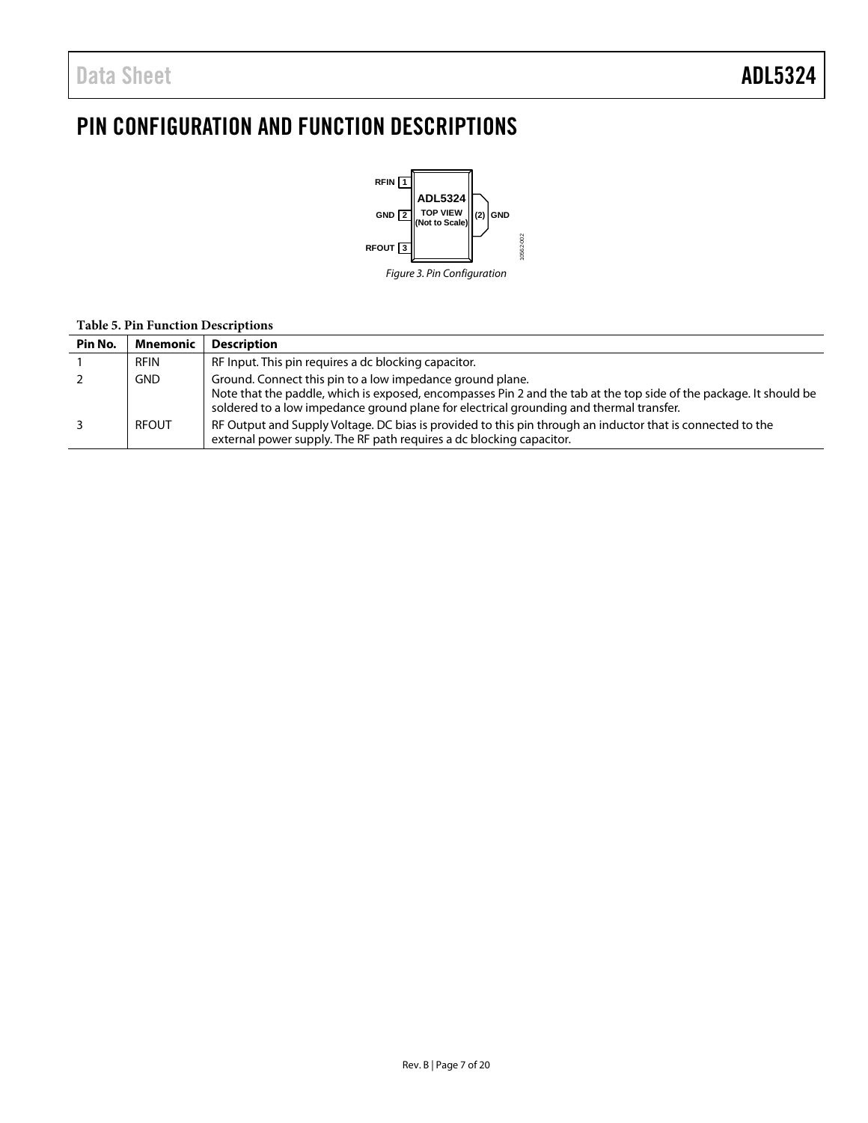## <span id="page-6-0"></span>PIN CONFIGURATION AND FUNCTION DESCRIPTIONS



#### **Table 5. Pin Function Descriptions**

| Pin No. | <b>Mnemonic</b> | <b>Description</b>                                                                                                                                                                                                                                                         |
|---------|-----------------|----------------------------------------------------------------------------------------------------------------------------------------------------------------------------------------------------------------------------------------------------------------------------|
|         | RFIN            | RF Input. This pin requires a dc blocking capacitor.                                                                                                                                                                                                                       |
|         | <b>GND</b>      | Ground. Connect this pin to a low impedance ground plane.<br>Note that the paddle, which is exposed, encompasses Pin 2 and the tab at the top side of the package. It should be<br>soldered to a low impedance ground plane for electrical grounding and thermal transfer. |
|         | <b>RFOUT</b>    | RF Output and Supply Voltage. DC bias is provided to this pin through an inductor that is connected to the<br>external power supply. The RF path requires a dc blocking capacitor.                                                                                         |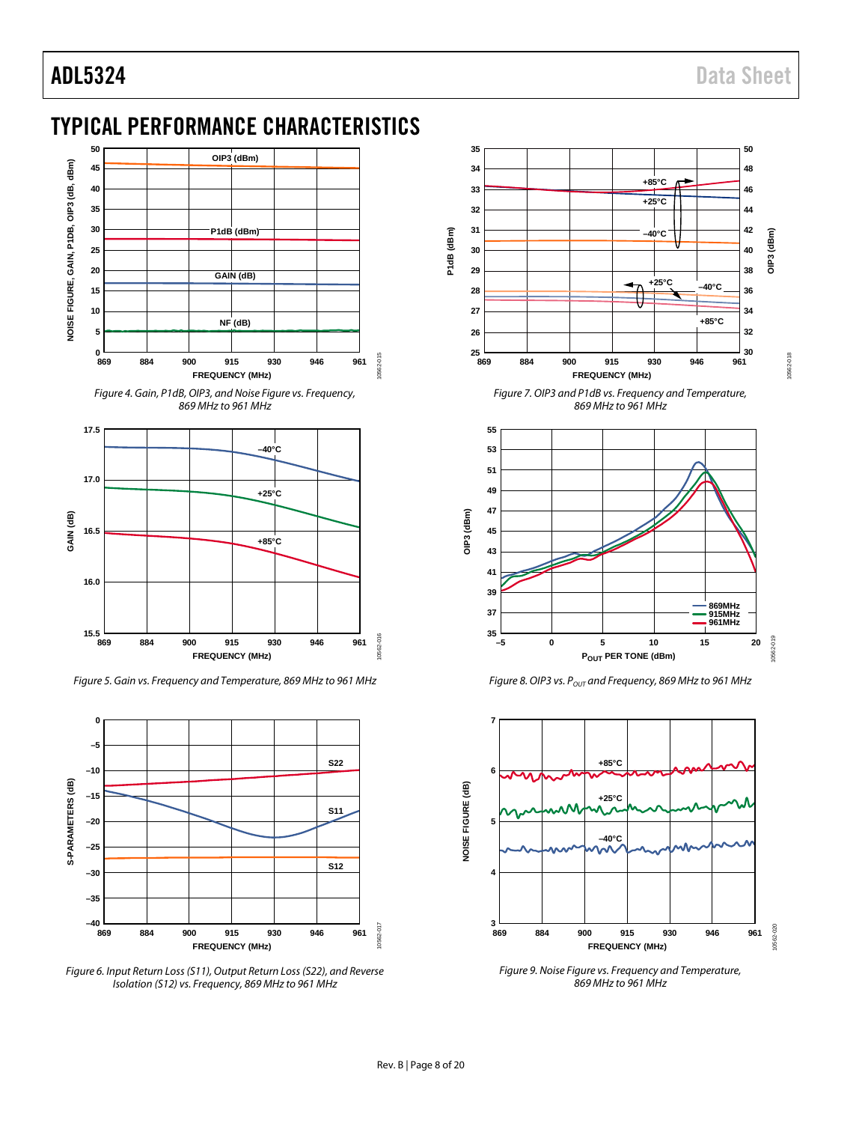## <span id="page-7-0"></span>TYPICAL PERFORMANCE CHARACTERISTICS



*Figure 4. Gain, P1dB, OIP3, and Noise Figure vs. Frequency, 869 MHz to 961 MHz*



*Figure 5. Gain vs. Frequency and Temperature, 869 MHz to 961 MHz*



*Figure 6. Input Return Loss(S11), Output Return Loss (S22), and Reverse Isolation (S12) vs. Frequency, 869 MHz to 961 MHz*



*Figure 7. OIP3 and P1dB vs. Frequency and Temperature, 869 MHz to 961 MHz*



*Figure 8. OIP3 vs. P<sub>OUT</sub> and Frequency, 869 MHz to 961 MHz* 



*Figure 9. Noise Figure vs. Frequency and Temperature, 869 MHz to 961 MHz*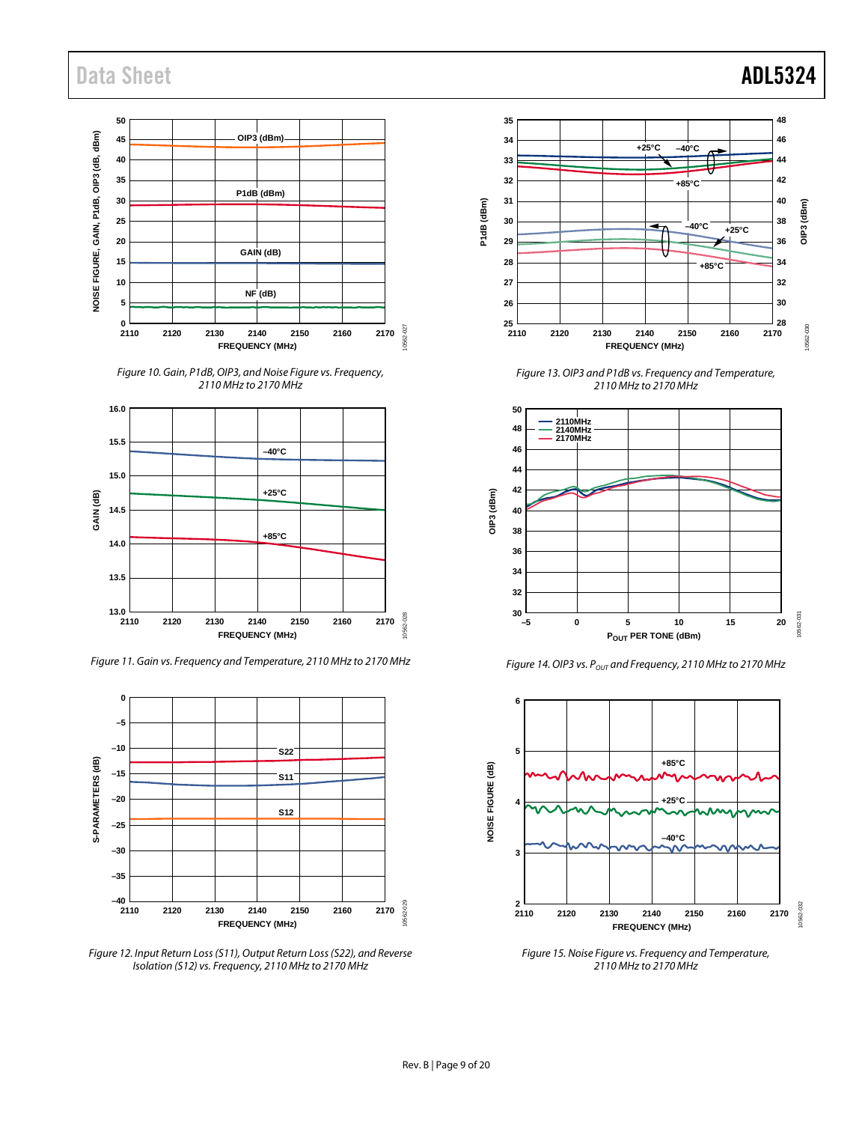## Data Sheet **ADL5324**







*Figure 11. Gain vs. Frequency and Temperature, 2110 MHz to 2170 MHz*



*Figure 12. Input Return Loss (S11), Output Return Loss (S22), and Reverse Isolation (S12) vs. Frequency, 2110 MHz to 2170 MHz*



*Figure 13. OIP3 and P1dB vs. Frequency and Temperature, 2110 MHz to 2170 MHz*



*Figure 14. OIP3 vs. P<sub>OUT</sub> and Frequency, 2110 MHz to 2170 MHz* 



*Figure 15. Noise Figure vs. Frequency and Temperature, 2110 MHz to 2170 MHz*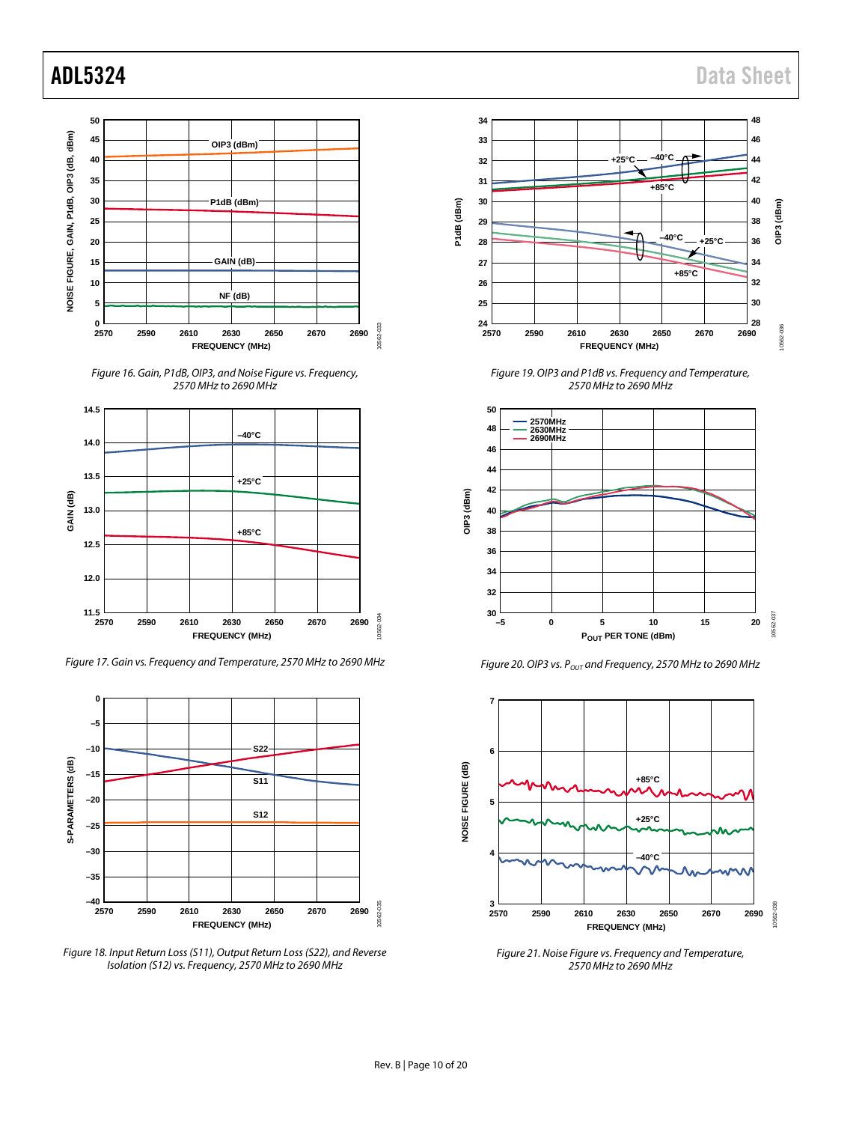





*Figure 17. Gain vs. Frequency and Temperature, 2570 MHz to 2690 MHz*



*Figure 18. Input Return Loss (S11), Output Return Loss (S22), and Reverse Isolation (S12) vs. Frequency, 2570 MHz to 2690 MHz*



*Figure 19. OIP3 and P1dB vs. Frequency and Temperature, 2570 MHz to 2690 MHz*



*Figure 20. OIP3 vs. POUT and Frequency, 2570 MHz to 2690 MHz*



*Figure 21. Noise Figure vs. Frequency and Temperature, 2570 MHz to 2690 MHz*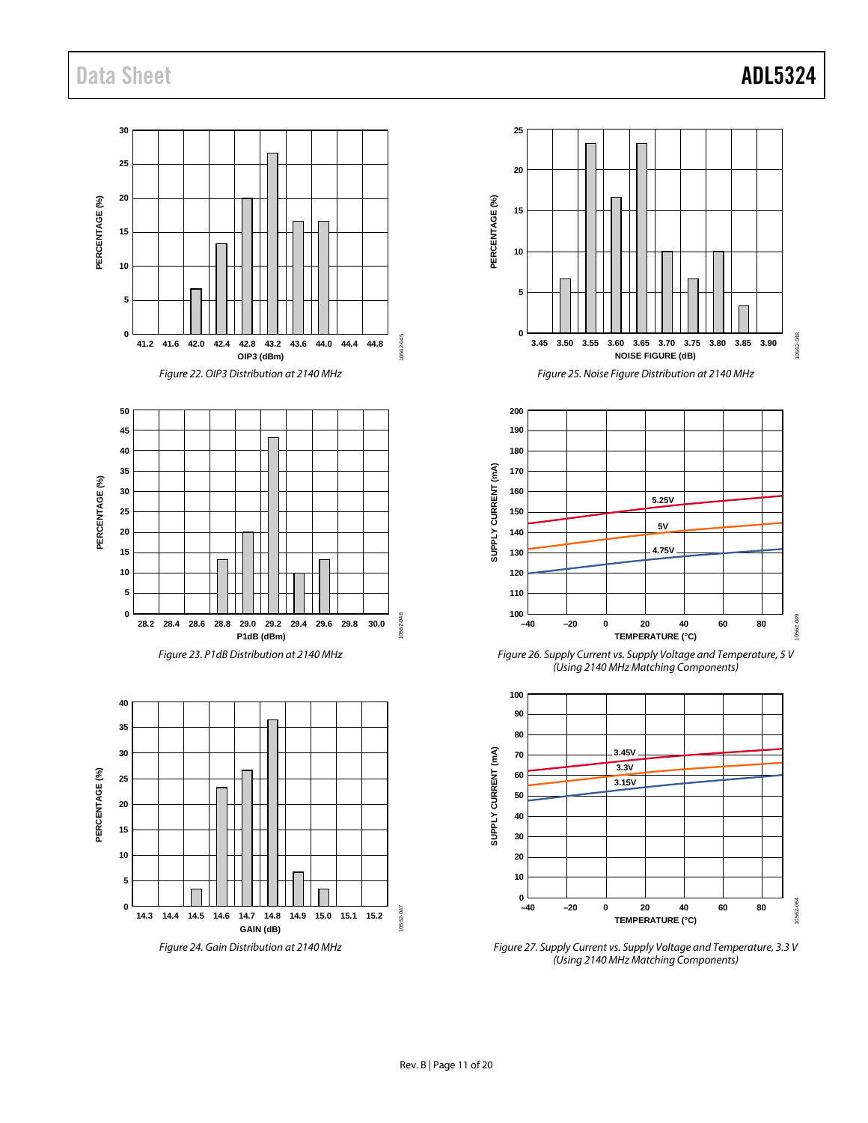## Data Sheet **ADL5324**

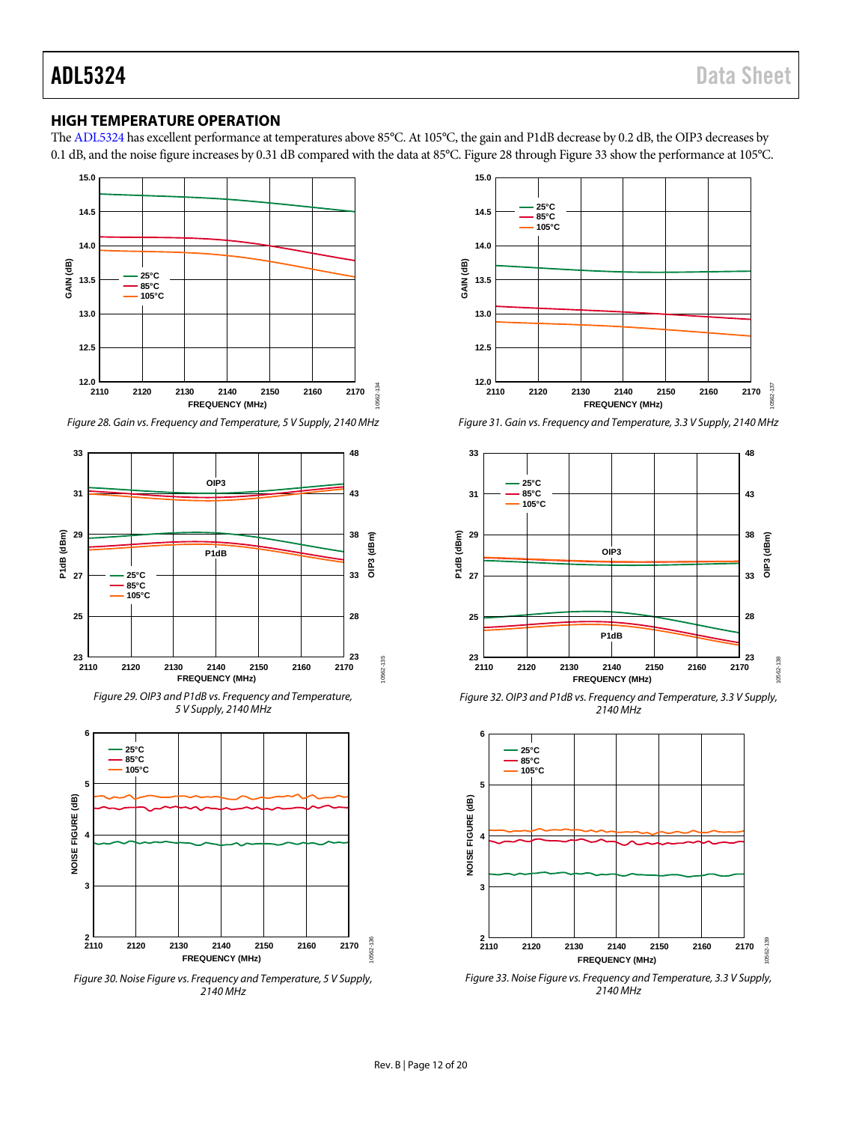### <span id="page-11-0"></span>**HIGH TEMPERATURE OPERATION**

Th[e ADL5324](http://www.analog.com/ADL5324) has excellent performance at temperatures above 85°C. At 105°C, the gain and P1dB decrease by 0.2 dB, the OIP3 decreases by 0.1 dB, and the noise figure increases by 0.31 dB compared with the data at 85°C[. Figure 28](#page-11-1) throug[h Figure 33](#page-11-2) show the performance at 105°C.



<span id="page-11-1"></span>*Figure 28. Gain vs. Frequency and Temperature, 5 V Supply, 2140 MHz*







*Figure 30. Noise Figure vs. Frequency and Temperature, 5 V Supply, 2140 MHz*



*Figure 31. Gain vs. Frequency and Temperature, 3.3 V Supply, 2140 MHz*



*Figure 32. OIP3 and P1dB vs. Frequency and Temperature, 3.3 V Supply, 2140 MHz*



<span id="page-11-2"></span>*Figure 33. Noise Figure vs. Frequency and Temperature, 3.3 V Supply, 2140 MHz*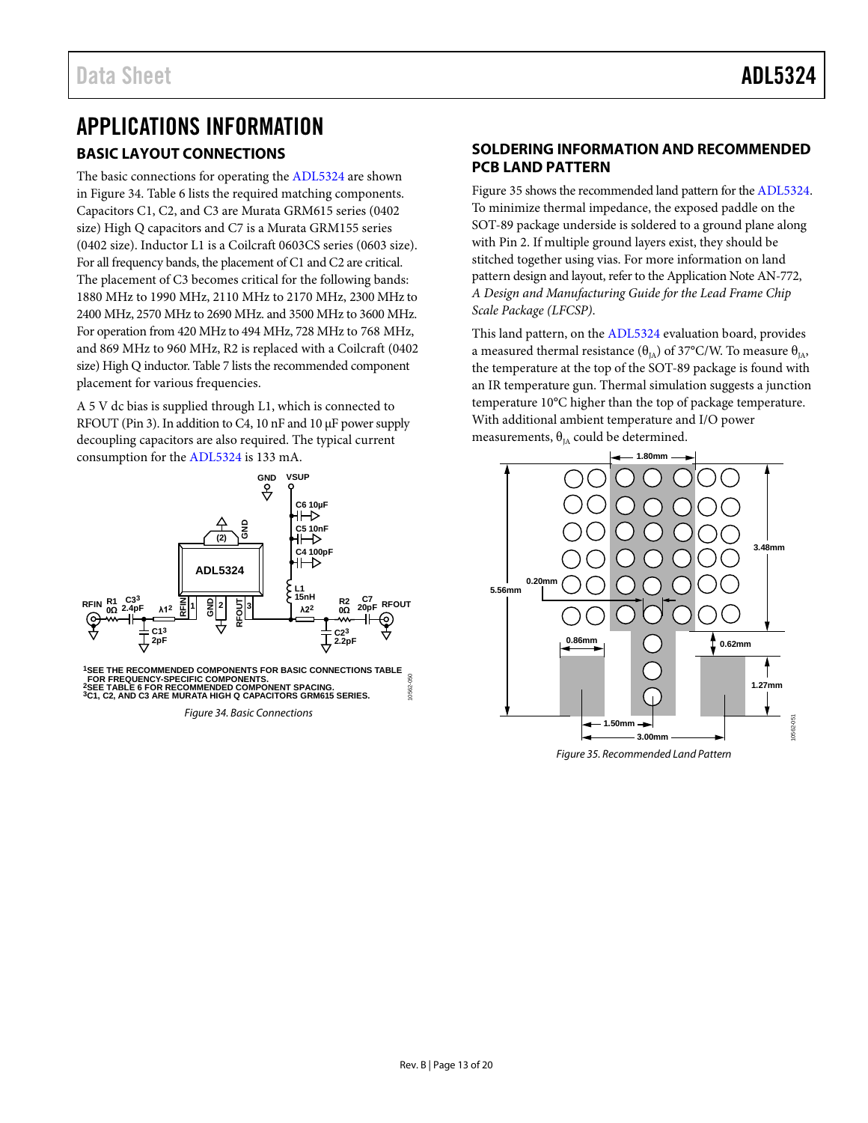## <span id="page-12-1"></span><span id="page-12-0"></span>APPLICATIONS INFORMATION **BASIC LAYOUT CONNECTIONS**

The basic connections for operating th[e ADL5324](http://www.analog.com/ADL5324) are shown in [Figure 34.](#page-12-3) [Table 6](#page-13-0) lists the required matching components. Capacitors C1, C2, and C3 are Murata GRM615 series (0402 size) High Q capacitors and C7 is a Murata GRM155 series (0402 size). Inductor L1 is a Coilcraft 0603CS series (0603 size). For all frequency bands, the placement of C1 and C2 are critical. The placement of C3 becomes critical for the following bands: 1880 MHz to 1990 MHz, 2110 MHz to 2170 MHz, 2300 MHz to 2400 MHz, 2570 MHz to 2690 MHz. and 3500 MHz to 3600 MHz. For operation from 420 MHz to 494 MHz, 728 MHz to 768 MHz, and 869 MHz to 960 MHz, R2 is replaced with a Coilcraft (0402 size) High Q inductor[. Table 7](#page-13-1) lists the recommended component placement for various frequencies.

A 5 V dc bias is supplied through L1, which is connected to RFOUT (Pin 3). In addition to C4, 10 nF and 10  $\mu$ F power supply decoupling capacitors are also required. The typical current consumption for th[e ADL5324](http://www.analog.com/ADL5324) is 133 mA.



<span id="page-12-3"></span>*Figure 34. Basic Connections*

## <span id="page-12-2"></span>**SOLDERING INFORMATION AND RECOMMENDED PCB LAND PATTERN**

[Figure 35](#page-12-4) shows the recommended land pattern for th[e ADL5324.](http://www.analog.com/ADL5324)  To minimize thermal impedance, the exposed paddle on the SOT-89 package underside is soldered to a ground plane along with Pin 2. If multiple ground layers exist, they should be stitched together using vias. For more information on land pattern design and layout, refer to the Application Note AN-772, *A Design and Manufacturing Guide for the Lead Frame Chip Scale Package (LFCSP)*.

This land pattern, on the [ADL5324](http://www.analog.com/ADL5324) evaluation board, provides a measured thermal resistance ( $\theta$ <sub>IA</sub>) of 37°C/W. To measure  $\theta$ <sub>IA</sub>, the temperature at the top of the SOT-89 package is found with an IR temperature gun. Thermal simulation suggests a junction temperature 10°C higher than the top of package temperature. With additional ambient temperature and I/O power measurements,  $\theta_{IA}$  could be determined.



<span id="page-12-4"></span>*Figure 35. Recommended Land Pattern*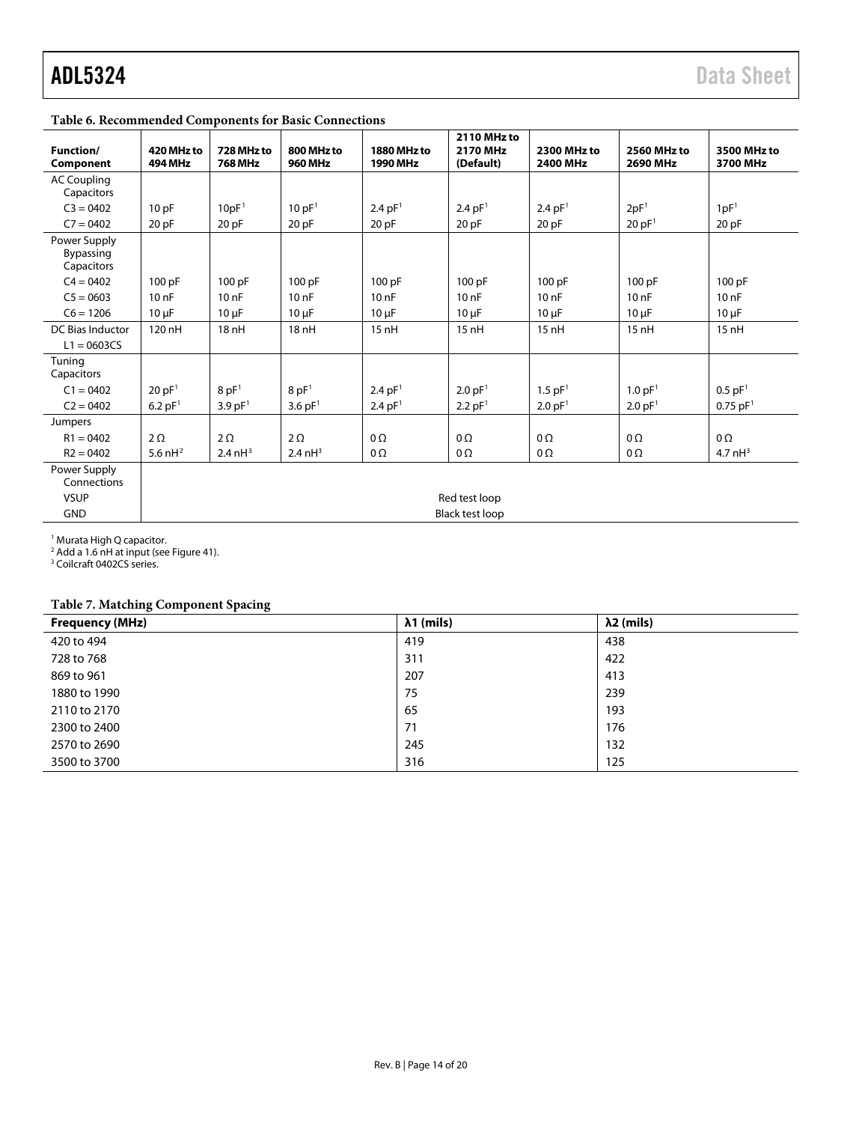## <span id="page-13-0"></span>**Table 6. Recommended Components for Basic Connections**

| <b>Function/</b><br>Component           | 420 MHz to<br><b>494 MHz</b> | 728 MHz to<br><b>768 MHz</b> | 800 MHz to<br><b>960 MHz</b> | 1880 MHz to<br>1990 MHz | 2110 MHz to<br>2170 MHz<br>(Default) | 2300 MHz to<br>2400 MHz | 2560 MHz to<br>2690 MHz | 3500 MHz to<br>3700 MHz |
|-----------------------------------------|------------------------------|------------------------------|------------------------------|-------------------------|--------------------------------------|-------------------------|-------------------------|-------------------------|
| <b>AC Coupling</b><br>Capacitors        |                              |                              |                              |                         |                                      |                         |                         |                         |
| $C3 = 0402$                             | 10pF                         | 10pF <sup>1</sup>            | 10 pF <sup>1</sup>           | 2.4 pF <sup>1</sup>     | 2.4 $pF1$                            | 2.4 pF <sup>1</sup>     | 2pF <sup>1</sup>        | 1pF <sup>1</sup>        |
| $C7 = 0402$                             | 20 pF                        | 20 pF                        | 20 pF                        | 20 pF                   | 20pF                                 | 20pF                    | 20 pF <sup>1</sup>      | 20 pF                   |
| Power Supply<br>Bypassing<br>Capacitors |                              |                              |                              |                         |                                      |                         |                         |                         |
| $C4 = 0402$                             | 100 pF                       | 100 pF                       | 100 pF                       | 100 pF                  | 100 pF                               | 100 pF                  | 100 pF                  | 100 pF                  |
| $C5 = 0603$                             | 10nF                         | 10nF                         | 10nF                         | 10nF                    | 10nF                                 | 10nF                    | 10nF                    | 10nF                    |
| $C6 = 1206$                             | $10 \mu F$                   | $10 \mu F$                   | $10 \mu F$                   | $10 \mu F$              | $10 \mu F$                           | $10 \mu F$              | $10 \mu F$              | $10 \mu F$              |
| DC Bias Inductor<br>$L1 = 0603CS$       | 120 nH                       | 18 nH                        | 18 nH                        | 15nH                    | 15nH                                 | 15nH                    | 15nH                    | 15nH                    |
| Tuning<br>Capacitors                    |                              |                              |                              |                         |                                      |                         |                         |                         |
| $C1 = 0402$                             | 20 pF <sup>1</sup>           | 8pF <sup>1</sup>             | 8pF <sup>1</sup>             | 2.4 pF <sup>1</sup>     | 2.0 pF <sup>1</sup>                  | $1.5$ pF <sup>1</sup>   | 1.0 pF <sup>1</sup>     | $0.5$ pF <sup>1</sup>   |
| $C2 = 0402$                             | $6.2$ pF <sup>1</sup>        | 3.9 pF <sup>1</sup>          | 3.6 $pF1$                    | 2.4 pF <sup>1</sup>     | $2.2$ pF <sup>1</sup>                | 2.0 pF <sup>1</sup>     | 2.0 pF <sup>1</sup>     | $0.75$ pF <sup>1</sup>  |
| Jumpers                                 |                              |                              |                              |                         |                                      |                         |                         |                         |
| $R1 = 0402$                             | $2\Omega$                    | $2\Omega$                    | $2\Omega$                    | $0\Omega$               | $0\Omega$                            | $0\Omega$               | $0\Omega$               | $0\Omega$               |
| $R2 = 0402$                             | 5.6 $nH^2$                   | 2.4 $nH3$                    | $2.4 \text{ nH}^3$           | $0\Omega$               | 0Ω                                   | $0\Omega$               | $0\Omega$               | 4.7 $nH^3$              |
| Power Supply<br>Connections             |                              |                              |                              |                         |                                      |                         |                         |                         |
| <b>VSUP</b>                             | Red test loop                |                              |                              |                         |                                      |                         |                         |                         |
| <b>GND</b>                              |                              |                              |                              |                         | <b>Black test loop</b>               |                         |                         |                         |

<sup>1</sup> Murata High Q capacitor.

 $2$  Add a 1.6 nH at input (see [Figure 41\).](#page-17-0)

<sup>3</sup> Coilcraft 0402CS series.

## <span id="page-13-1"></span>**Table 7. Matching Component Spacing**

| $\sim$<br><b>Frequency (MHz)</b> | $\lambda$ 1 (mils) | $\lambda$ 2 (mils) |
|----------------------------------|--------------------|--------------------|
| 420 to 494                       | 419                | 438                |
| 728 to 768                       | 311                | 422                |
| 869 to 961                       | 207                | 413                |
| 1880 to 1990                     | 75                 | 239                |
| 2110 to 2170                     | 65                 | 193                |
| 2300 to 2400                     | 71                 | 176                |
| 2570 to 2690                     | 245                | 132                |
| 3500 to 3700                     | 316                | 125                |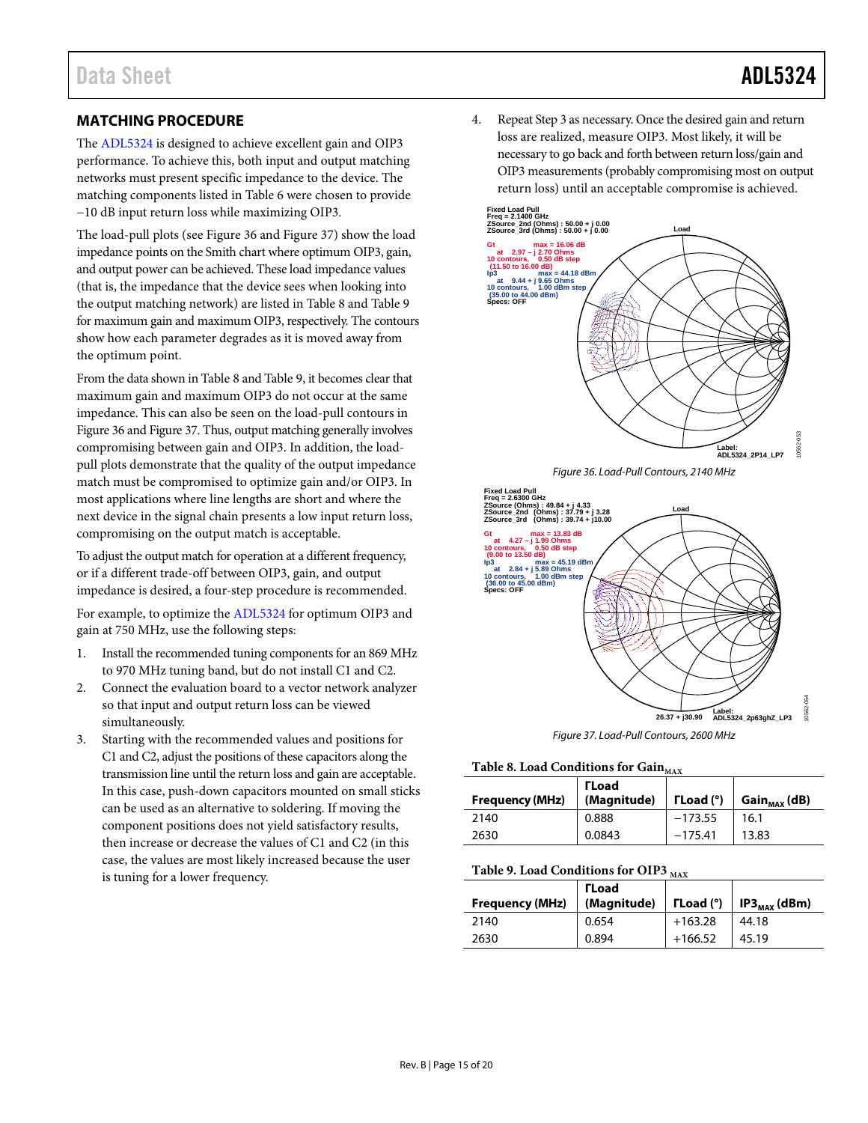## <span id="page-14-0"></span>**MATCHING PROCEDURE**

The [ADL5324](http://www.analog.com/ADL5324) is designed to achieve excellent gain and OIP3 performance. To achieve this, both input and output matching networks must present specific impedance to the device. The matching components listed in [Table 6](#page-13-0) were chosen to provide −10 dB input return loss while maximizing OIP3.

The load-pull plots (se[e Figure 36](#page-14-1) and [Figure 37\)](#page-14-2) show the load impedance points on the Smith chart where optimum OIP3, gain, and output power can be achieved. These load impedance values (that is, the impedance that the device sees when looking into the output matching network) are listed i[n Table 8](#page-14-3) and [Table 9](#page-14-4) for maximum gain and maximum OIP3, respectively. The contours show how each parameter degrades as it is moved away from the optimum point.

From the data shown i[n Table 8](#page-14-3) an[d Table 9,](#page-14-4) it becomes clear that maximum gain and maximum OIP3 do not occur at the same impedance. This can also be seen on the load-pull contours in [Figure 36](#page-14-1) an[d Figure 37.](#page-14-2) Thus, output matching generally involves compromising between gain and OIP3. In addition, the loadpull plots demonstrate that the quality of the output impedance match must be compromised to optimize gain and/or OIP3. In most applications where line lengths are short and where the next device in the signal chain presents a low input return loss, compromising on the output match is acceptable.

To adjust the output match for operation at a different frequency, or if a different trade-off between OIP3, gain, and output impedance is desired, a four-step procedure is recommended.

For example, to optimize th[e ADL5324](http://www.analog.com/ADL5324) for optimum OIP3 and gain at 750 MHz, use the following steps:

- 1. Install the recommended tuning components for an 869 MHz to 970 MHz tuning band, but do not install C1 and C2.
- 2. Connect the evaluation board to a vector network analyzer so that input and output return loss can be viewed simultaneously.
- 3. Starting with the recommended values and positions for C1 and C2, adjust the positions of these capacitors along the transmission line until the return loss and gain are acceptable. In this case, push-down capacitors mounted on small sticks can be used as an alternative to soldering. If moving the component positions does not yield satisfactory results, then increase or decrease the values of C1 and C2 (in this case, the values are most likely increased because the user is tuning for a lower frequency.

4. Repeat Step 3 as necessary. Once the desired gain and return loss are realized, measure OIP3. Most likely, it will be necessary to go back and forth between return loss/gain and OIP3 measurements (probably compromising most on output return loss) until an acceptable compromise is achieved.



*Figure 36. Load-Pull Contours, 2140 MHz*

<span id="page-14-1"></span>

*Figure 37. Load-Pull Contours, 2600 MHz*

### <span id="page-14-3"></span><span id="page-14-2"></span>Table 8. Load Conditions for Gain<sub>MAX</sub>

| <b>Frequency (MHz)</b> | <b>TLoad</b><br>(Magnitude) | $\Gamma$ Load (°) | $Gain_{MAX}(dB)$ |
|------------------------|-----------------------------|-------------------|------------------|
| 2140                   | 0.888                       | $-173.55$         | 16.1             |
| 2630                   | 0.0843                      | $-175.41$         | 13.83            |

#### <span id="page-14-4"></span>Table 9. Load Conditions for OIP3 MAX

| <b>Frequency (MHz)</b> | <b>TLoad</b><br>(Magnitude) | $\Gamma$ Load ( $\degree$ ) | IP3 $_{\text{MAX}}$ (dBm) |  |
|------------------------|-----------------------------|-----------------------------|---------------------------|--|
| 2140                   | 0.654                       | $+163.28$                   | 44.18                     |  |
| 2630                   | 0.894                       | $+166.52$                   | 45.19                     |  |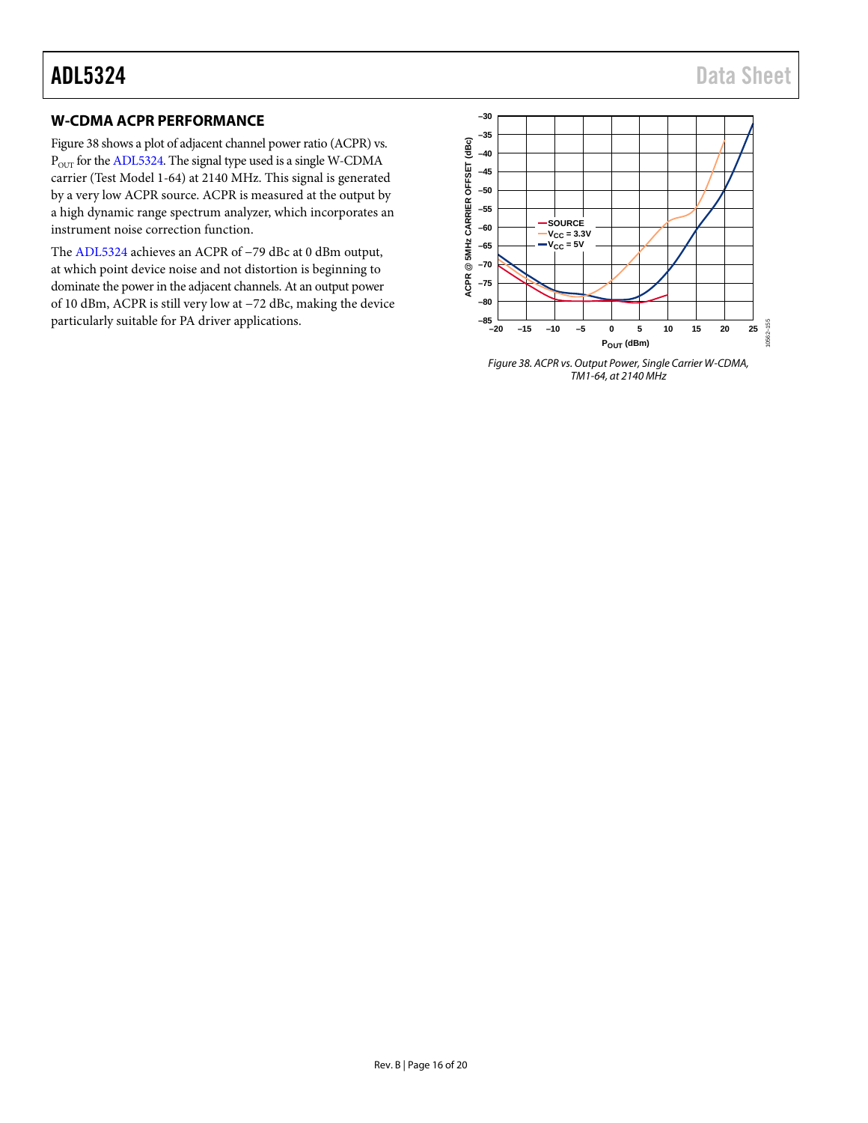## <span id="page-15-0"></span>**W-CDMA ACPR PERFORMANCE**

[Figure 38](#page-15-1) shows a plot of adjacent channel power ratio (ACPR) vs.  $\rm P_{\rm OUT}$  for th[e ADL5324.](http://www.analog.com/ADL5324) The signal type used is a single W-CDMA carrier (Test Model 1-64) at 2140 MHz. This signal is generated by a very low ACPR source. ACPR is measured at the output by a high dynamic range spectrum analyzer, which incorporates an instrument noise correction function.

The [ADL5324](http://www.analog.com/ADL5324) achieves an ACPR of −79 dBc at 0 dBm output, at which point device noise and not distortion is beginning to dominate the power in the adjacent channels. At an output power of 10 dBm, ACPR is still very low at −72 dBc, making the device particularly suitable for PA driver applications.



<span id="page-15-1"></span>*Figure 38. ACPR vs. Output Power, Single Carrier W-CDMA, TM1-64, at 2140 MHz*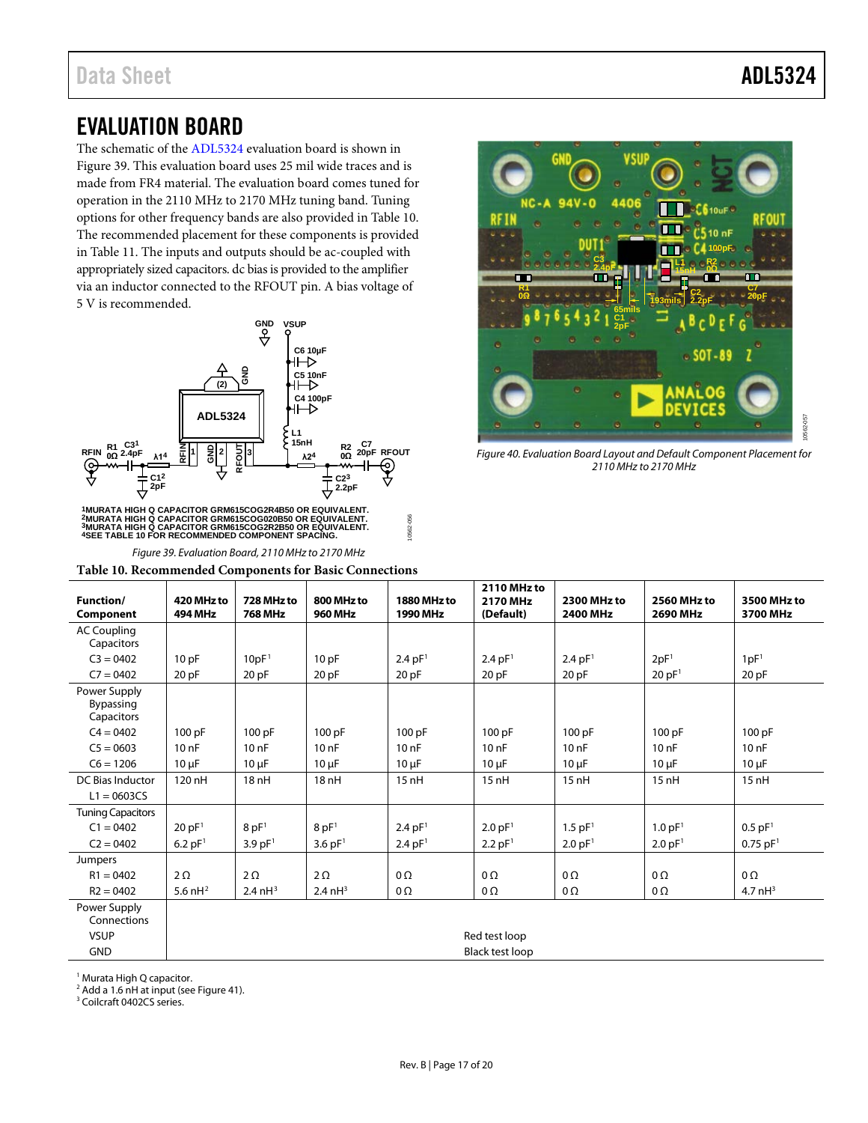## <span id="page-16-0"></span>EVALUATION BOARD

The schematic of the [ADL5324](http://www.analog.com/ADL5324) evaluation board is shown in [Figure 39.](#page-16-1) This evaluation board uses 25 mil wide traces and is made from FR4 material. The evaluation board comes tuned for operation in the 2110 MHz to 2170 MHz tuning band. Tuning options for other frequency bands are also provided in [Table 10.](#page-16-2)  The recommended placement for these components is provided in [Table 11.](#page-17-1) The inputs and outputs should be ac-coupled with appropriately sized capacitors. dc bias is provided to the amplifier via an inductor connected to the RFOUT pin. A bias voltage of 5 V is recommended.



<sup>1</sup>MURATA HIGH Q CAPACITOR GRM615COG2R4B50 OR EQUIVALENT.<br><sup>2</sup>MURATA HIGH Q CAPACITOR GRM615COG020B50 OR EQUIVALENT.<br><sup>3</sup>MURATA HIGH Q CAPACITOR GRM615COG2R2B50 OR EQUIVALENT.<br><sup>4</sup>SEE TABLE 10 FOR RECOMMENDED COMPONENT SPACI

*Figure 39. Evaluation Board, 2110 MHz to 2170 MHz*

<span id="page-16-2"></span><span id="page-16-1"></span>**Table 10. Recommended Components for Basic Connections**



*Figure 40. Evaluation Board Layout and Default Component Placement for 2110 MHz to 2170 MHz*

|                                         |                              | л.                           |                              |                         | 2110 MHz to           |                                |                                |                         |
|-----------------------------------------|------------------------------|------------------------------|------------------------------|-------------------------|-----------------------|--------------------------------|--------------------------------|-------------------------|
| Function/<br>Component                  | 420 MHz to<br><b>494 MHz</b> | 728 MHz to<br><b>768 MHz</b> | 800 MHz to<br><b>960 MHz</b> | 1880 MHz to<br>1990 MHz | 2170 MHz<br>(Default) | <b>2300 MHz to</b><br>2400 MHz | 2560 MHz to<br><b>2690 MHz</b> | 3500 MHz to<br>3700 MHz |
| <b>AC Coupling</b><br>Capacitors        |                              |                              |                              |                         |                       |                                |                                |                         |
| $C3 = 0402$                             | 10pF                         | 10pF <sup>1</sup>            | 10pF                         | 2.4 pF <sup>1</sup>     | 2.4 pF <sup>1</sup>   | 2.4 pF <sup>1</sup>            | 2pF <sup>1</sup>               | 1pF <sup>1</sup>        |
| $C7 = 0402$                             | 20 pF                        | 20 pF                        | 20 pF                        | 20 <sub>pF</sub>        | 20 pF                 | 20 pF                          | 20 pF <sup>1</sup>             | 20 pF                   |
| Power Supply<br>Bypassing<br>Capacitors |                              |                              |                              |                         |                       |                                |                                |                         |
| $C4 = 0402$                             | 100 pF                       | 100 pF                       | 100 pF                       | 100 pF                  | 100 pF                | 100 pF                         | 100 pF                         | 100 pF                  |
| $C5 = 0603$                             | 10nF                         | 10nF                         | 10nF                         | 10nF                    | $100$ F               | $100$ F                        | 10nF                           | 10nF                    |
| $C6 = 1206$                             | $10 \mu F$                   | $10 \mu F$                   | $10 \mu F$                   | $10 \mu F$              | $10 \mu F$            | $10 \mu F$                     | $10 \mu F$                     | $10 \mu F$              |
| DC Bias Inductor<br>$L1 = 0603CS$       | 120 nH                       | 18 nH                        | 18 nH                        | 15nH                    | 15nH                  | 15nH                           | 15nH                           | 15nH                    |
| <b>Tuning Capacitors</b>                |                              |                              |                              |                         |                       |                                |                                |                         |
| $C1 = 0402$                             | 20 pF <sup>1</sup>           | 8pF <sup>1</sup>             | 8pF <sup>1</sup>             | 2.4 pF <sup>1</sup>     | 2.0 pF <sup>1</sup>   | 1.5 pF <sup>1</sup>            | 1.0 pF <sup>1</sup>            | $0.5$ pF <sup>1</sup>   |
| $C2 = 0402$                             | $6.2$ pF <sup>1</sup>        | 3.9 pF <sup>1</sup>          | 3.6 pF <sup>1</sup>          | 2.4 pF <sup>1</sup>     | $2.2$ pF <sup>1</sup> | 2.0 pF <sup>1</sup>            | 2.0 pF <sup>1</sup>            | $0.75$ pF <sup>1</sup>  |
| Jumpers                                 |                              |                              |                              |                         |                       |                                |                                |                         |
| $R1 = 0402$                             | $2\Omega$                    | $2\Omega$                    | $2\Omega$                    | $0\Omega$               | 0Ω                    | 0Ω                             | $0\,\Omega$                    | $0\Omega$               |
| $R2 = 0402$                             | 5.6 $nH^2$                   | 2.4 $nH3$                    | $2.4 \text{ nH}^3$           | $0\Omega$               | $0\Omega$             | $0\Omega$                      | $0\Omega$                      | 4.7 $nH^3$              |
| Power Supply<br>Connections             |                              |                              |                              |                         |                       |                                |                                |                         |
| <b>VSUP</b>                             |                              | Red test loop                |                              |                         |                       |                                |                                |                         |
| <b>GND</b>                              |                              | <b>Black test loop</b>       |                              |                         |                       |                                |                                |                         |

10562-056

0562-056

<sup>1</sup> Murata High Q capacitor.

 $2$  Add a 1.6 nH at input (se[e Figure 41\)](#page-17-0).

<sup>3</sup> Coilcraft 0402CS series.

10562-057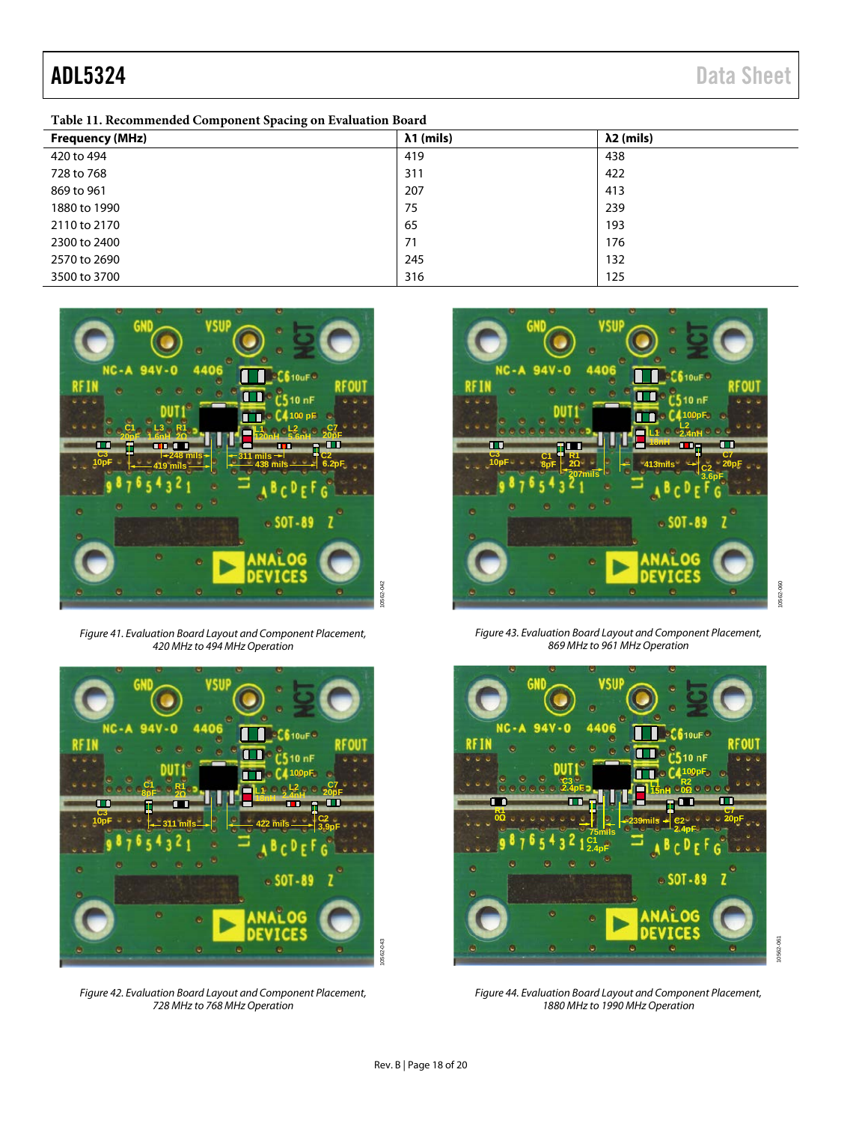<span id="page-17-1"></span>

| <b>Frequency (MHz)</b> | $\lambda$ 1 (mils) | $\lambda$ 2 (mils) |
|------------------------|--------------------|--------------------|
| 420 to 494             | 419                | 438                |
| 728 to 768             | 311                | 422                |
| 869 to 961             | 207                | 413                |
| 1880 to 1990           | 75                 | 239                |
| 2110 to 2170           | 65                 | 193                |
| 2300 to 2400           | 71                 | 176                |
| 2570 to 2690           | 245                | 132                |
| 3500 to 3700           | 316                | 125                |



*Figure 41. Evaluation Board Layout and Component Placement, 420 MHz to 494 MHz Operation*

<span id="page-17-0"></span>

*Figure 42. Evaluation Board Layout and Component Placement, 728 MHz to 768 MHz Operation*



*Figure 43. Evaluation Board Layout and Component Placement, 869 MHz to 961 MHz Operation*



10562-061 10562-061

*Figure 44. Evaluation Board Layout and Component Placement, 1880 MHz to 1990 MHz Operation*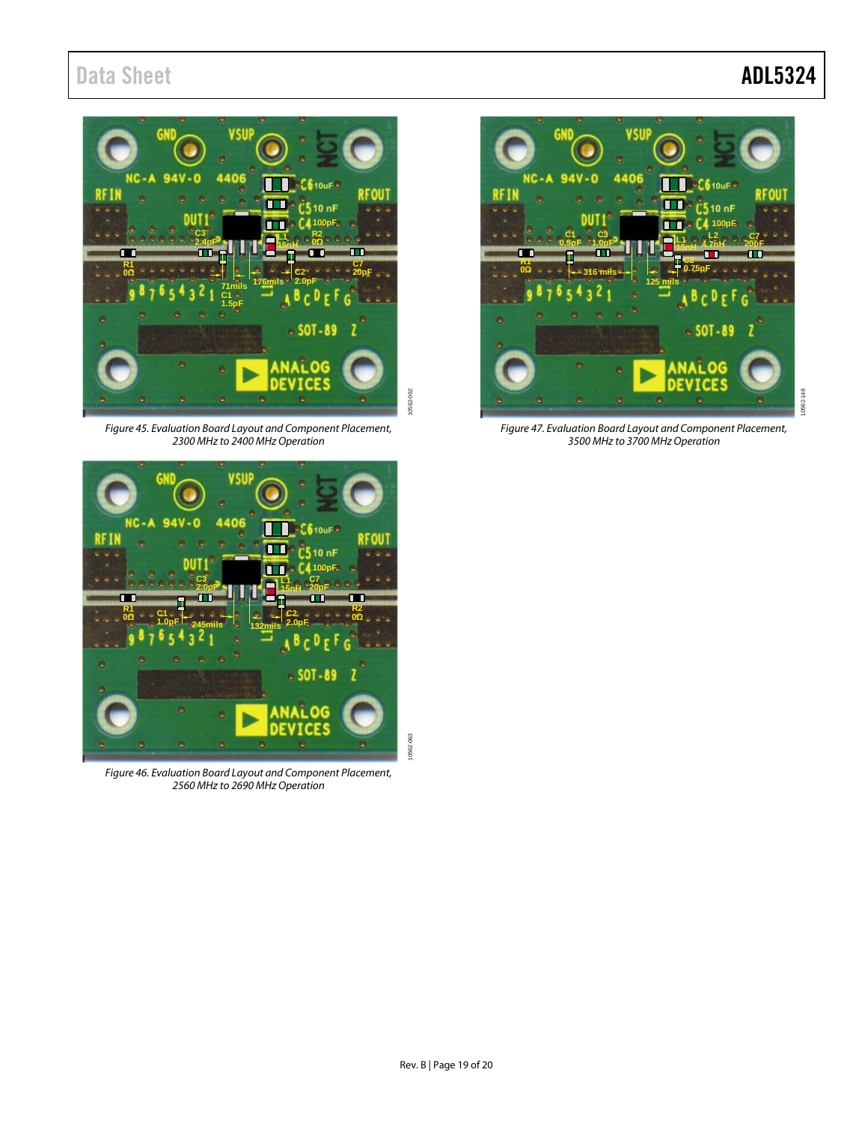## Data Sheet **ADL5324**



*Figure 45. Evaluation Board Layout and Component Placement, 2300 MHz to 2400 MHz Operation*



*Figure 46. Evaluation Board Layout and Component Placement, 2560 MHz to 2690 MHz Operation*



*Figure 47. Evaluation Board Layout and Component Placement, 3500 MHz to 3700 MHz Operation*

10562-063

0562-063